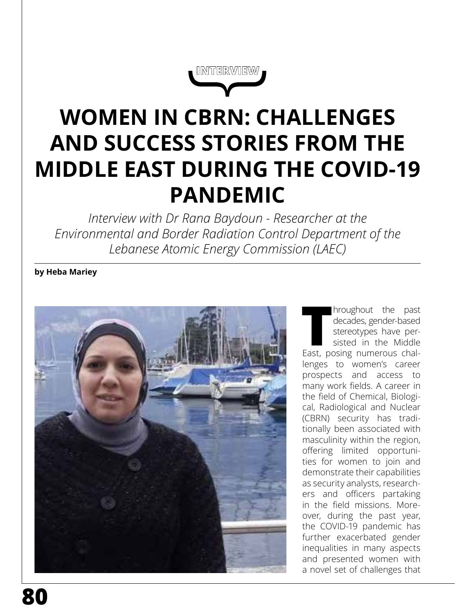**INTERVIEW**

# **WOMEN IN CBRN: CHALLENGES AND SUCCESS STORIES FROM THE MIDDLE EAST DURING THE COVID-19 PANDEMIC**

*Interview with Dr Rana Baydoun - Researcher at the Environmental and Border Radiation Control Department of the Lebanese Atomic Energy Commission (LAEC)*

# **by Heba Mariey**



**Throughout the past decades, gender-based stereotypes have per-<br>sisted in the Middle East, posing numerous chal**decades, gender-based stereotypes have persisted in the Middle lenges to women's career prospects and access to many work fields. A career in the field of Chemical, Biological, Radiological and Nuclear (CBRN) security has traditionally been associated with masculinity within the region, offering limited opportunities for women to join and demonstrate their capabilities as security analysts, researchers and officers partaking in the field missions. Moreover, during the past year, the COVID-19 pandemic has further exacerbated gender inequalities in many aspects and presented women with a novel set of challenges that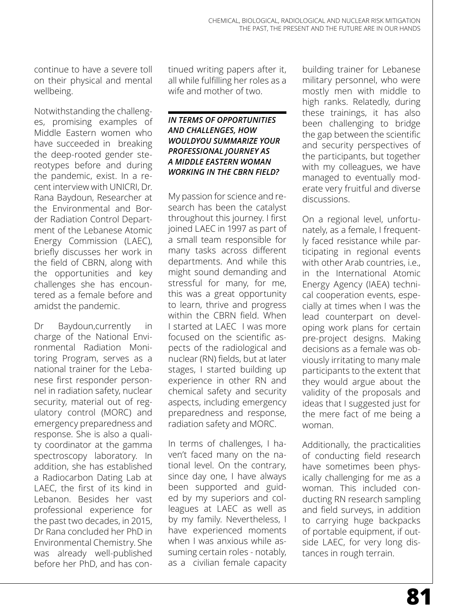continue to have a severe toll on their physical and mental wellbeing.

Notwithstanding the challenges, promising examples of Middle Eastern women who have succeeded in breaking the deep-rooted gender stereotypes before and during the pandemic, exist. In a recent interview with UNICRI, Dr. Rana Baydoun, Researcher at the Environmental and Border Radiation Control Department of the Lebanese Atomic Energy Commission (LAEC), briefly discusses her work in the field of CBRN, along with the opportunities and key challenges she has encountered as a female before and amidst the pandemic.

Dr Baydoun,currently in charge of the National Environmental Radiation Monitoring Program, serves as a national trainer for the Lebanese first responder personnel in radiation safety, nuclear security, material out of regulatory control (MORC) and emergency preparedness and response. She is also a quality coordinator at the gamma spectroscopy laboratory. In addition, she has established a Radiocarbon Dating Lab at LAEC, the first of its kind in Lebanon. Besides her vast professional experience for the past two decades, in 2015, Dr Rana concluded her PhD in Environmental Chemistry. She was already well-published before her PhD, and has continued writing papers after it, all while fulfilling her roles as a wife and mother of two.

## *IN TERMS OF OPPORTUNITIES AND CHALLENGES, HOW WOULDYOU SUMMARIZE YOUR PROFESSIONAL JOURNEY AS A MIDDLE EASTERN WOMAN WORKING IN THE CBRN FIELD?*

My passion for science and research has been the catalyst throughout this journey. I first joined LAEC in 1997 as part of a small team responsible for many tasks across different departments. And while this might sound demanding and stressful for many, for me, this was a great opportunity to learn, thrive and progress within the CBRN field. When I started at LAEC I was more focused on the scientific aspects of the radiological and nuclear (RN) fields, but at later stages, I started building up experience in other RN and chemical safety and security aspects, including emergency preparedness and response, radiation safety and MORC.

In terms of challenges, I haven't faced many on the national level. On the contrary, since day one, I have always been supported and guided by my superiors and colleagues at LAEC as well as by my family. Nevertheless, I have experienced moments when I was anxious while assuming certain roles - notably, as a civilian female capacity

building trainer for Lebanese military personnel, who were mostly men with middle to high ranks. Relatedly, during these trainings, it has also been challenging to bridge the gap between the scientific and security perspectives of the participants, but together with my colleagues, we have managed to eventually moderate very fruitful and diverse discussions.

On a regional level, unfortunately, as a female, I frequently faced resistance while participating in regional events with other Arab countries, i.e., in the International Atomic Energy Agency (IAEA) technical cooperation events, especially at times when I was the lead counterpart on developing work plans for certain pre-project designs. Making decisions as a female was obviously irritating to many male participants to the extent that they would argue about the validity of the proposals and ideas that I suggested just for the mere fact of me being a woman.

Additionally, the practicalities of conducting field research have sometimes been physically challenging for me as a woman. This included conducting RN research sampling and field surveys, in addition to carrying huge backpacks of portable equipment, if outside LAEC, for very long distances in rough terrain.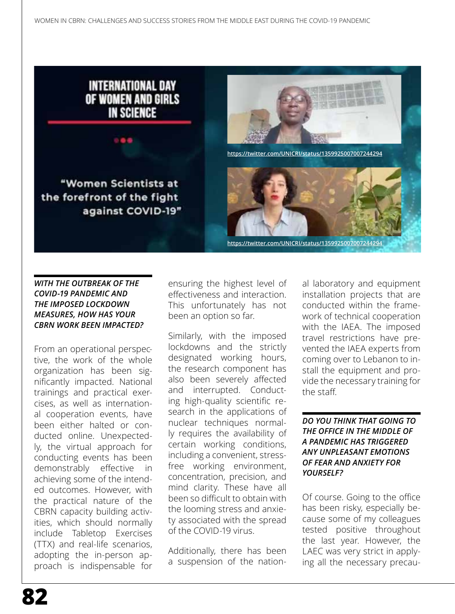

## *WITH THE OUTBREAK OF THE COVID-19 PANDEMIC AND THE IMPOSED LOCKDOWN MEASURES, HOW HAS YOUR CBRN WORK BEEN IMPACTED?*

From an operational perspective, the work of the whole organization has been significantly impacted. National trainings and practical exercises, as well as international cooperation events, have been either halted or conducted online. Unexpectedly, the virtual approach for conducting events has been demonstrably effective in achieving some of the intended outcomes. However, with the practical nature of the CBRN capacity building activities, which should normally include Tabletop Exercises (TTX) and real-life scenarios, adopting the in-person approach is indispensable for ensuring the highest level of effectiveness and interaction. This unfortunately has not been an option so far.

Similarly, with the imposed lockdowns and the strictly designated working hours, the research component has also been severely affected and interrupted. Conducting high-quality scientific research in the applications of nuclear techniques normally requires the availability of certain working conditions, including a convenient, stressfree working environment, concentration, precision, and mind clarity. These have all been so difficult to obtain with the looming stress and anxiety associated with the spread of the COVID-19 virus.

Additionally, there has been a suspension of the nation-

al laboratory and equipment installation projects that are conducted within the framework of technical cooperation with the IAEA. The imposed travel restrictions have prevented the IAEA experts from coming over to Lebanon to install the equipment and provide the necessary training for the staff.

#### *DO YOU THINK THAT GOING TO THE OFFICE IN THE MIDDLE OF A PANDEMIC HAS TRIGGERED ANY UNPLEASANT EMOTIONS OF FEAR AND ANXIETY FOR YOURSELF?*

Of course. Going to the office has been risky, especially because some of my colleagues tested positive throughout the last year. However, the LAEC was very strict in applying all the necessary precau-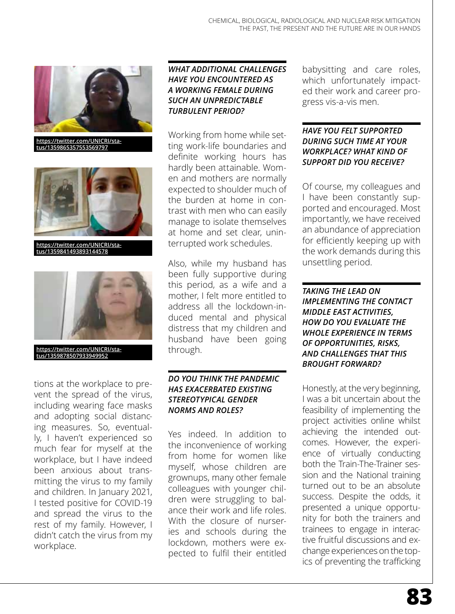

**https://twitter.com/UNICRI/status/1359865357553569797**



**https://twitter.com/UNICRI/status/1359841493893144578**



**https://twitter.com/UNICRI/status/1359878507933949952**

tions at the workplace to prevent the spread of the virus, including wearing face masks and adopting social distancing measures. So, eventually, I haven't experienced so much fear for myself at the workplace, but I have indeed been anxious about transmitting the virus to my family and children. In January 2021, I tested positive for COVID-19 and spread the virus to the rest of my family. However, I didn't catch the virus from my workplace.

# *WHAT ADDITIONAL CHALLENGES HAVE YOU ENCOUNTERED AS A WORKING FEMALE DURING SUCH AN UNPREDICTABLE TURBULENT PERIOD?*

Working from home while setting work-life boundaries and definite working hours has hardly been attainable. Women and mothers are normally expected to shoulder much of the burden at home in contrast with men who can easily manage to isolate themselves at home and set clear, uninterrupted work schedules.

Also, while my husband has been fully supportive during this period, as a wife and a mother, I felt more entitled to address all the lockdown-induced mental and physical distress that my children and husband have been going through.

## *DO YOU THINK THE PANDEMIC HAS EXACERBATED EXISTING STEREOTYPICAL GENDER NORMS AND ROLES?*

Yes indeed. In addition to the inconvenience of working from home for women like myself, whose children are grownups, many other female colleagues with younger children were struggling to balance their work and life roles. With the closure of nurseries and schools during the lockdown, mothers were expected to fulfil their entitled

babysitting and care roles, which unfortunately impacted their work and career progress vis-a-vis men.

## *HAVE YOU FELT SUPPORTED DURING SUCH TIME AT YOUR WORKPLACE? WHAT KIND OF SUPPORT DID YOU RECEIVE?*

Of course, my colleagues and I have been constantly supported and encouraged. Most importantly, we have received an abundance of appreciation for efficiently keeping up with the work demands during this unsettling period.

*TAKING THE LEAD ON IMPLEMENTING THE CONTACT MIDDLE EAST ACTIVITIES, HOW DO YOU EVALUATE THE WHOLE EXPERIENCE IN TERMS OF OPPORTUNITIES, RISKS, AND CHALLENGES THAT THIS BROUGHT FORWARD?* 

Honestly, at the very beginning, I was a bit uncertain about the feasibility of implementing the project activities online whilst achieving the intended outcomes. However, the experience of virtually conducting both the Train-The-Trainer session and the National training turned out to be an absolute success. Despite the odds, it presented a unique opportunity for both the trainers and trainees to engage in interactive fruitful discussions and exchange experiences on the topics of preventing the trafficking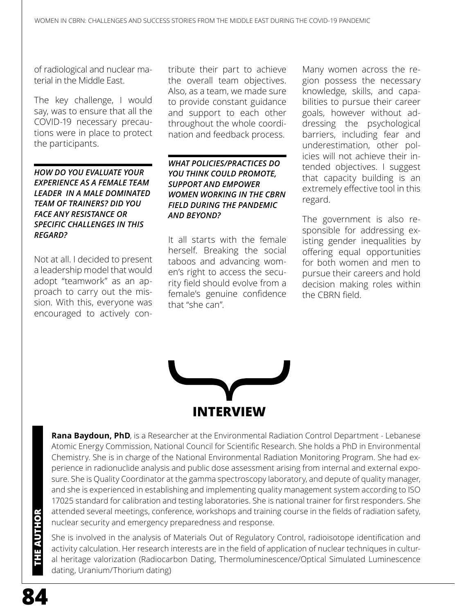of radiological and nuclear material in the Middle East.

The key challenge, I would say, was to ensure that all the COVID-19 necessary precautions were in place to protect the participants.

*HOW DO YOU EVALUATE YOUR EXPERIENCE AS A FEMALE TEAM LEADER IN A MALE DOMINATED TEAM OF TRAINERS? DID YOU FACE ANY RESISTANCE OR SPECIFIC CHALLENGES IN THIS REGARD?*

Not at all. I decided to present a leadership model that would adopt "teamwork" as an approach to carry out the mission. With this, everyone was encouraged to actively con-

tribute their part to achieve the overall team objectives. Also, as a team, we made sure to provide constant guidance and support to each other throughout the whole coordination and feedback process.

#### *WHAT POLICIES/PRACTICES DO YOU THINK COULD PROMOTE, SUPPORT AND EMPOWER WOMEN WORKING IN THE CBRN FIELD DURING THE PANDEMIC AND BEYOND?*

It all starts with the female herself. Breaking the social taboos and advancing women's right to access the security field should evolve from a female's genuine confidence that "she can".

Many women across the region possess the necessary knowledge, skills, and capabilities to pursue their career goals, however without addressing the psychological barriers, including fear and underestimation, other policies will not achieve their intended objectives. I suggest that capacity building is an extremely effective tool in this regard.

The government is also responsible for addressing existing gender inequalities by offering equal opportunities for both women and men to pursue their careers and hold decision making roles within the CBRN field.



**Rana Baydoun, PhD**, is a Researcher at the Environmental Radiation Control Department - Lebanese Atomic Energy Commission, National Council for Scientific Research. She holds a PhD in Environmental Chemistry. She is in charge of the National Environmental Radiation Monitoring Program. She had experience in radionuclide analysis and public dose assessment arising from internal and external exposure. She is Quality Coordinator at the gamma spectroscopy laboratory, and depute of quality manager, and she is experienced in establishing and implementing quality management system according to ISO 17025 standard for calibration and testing laboratories. She is national trainer for first responders. She attended several meetings, conference, workshops and training course in the fields of radiation safety, nuclear security and emergency preparedness and response.

She is involved in the analysis of Materials Out of Regulatory Control, radioisotope identification and activity calculation. Her research interests are in the field of application of nuclear techniques in cultural heritage valorization (Radiocarbon Dating, Thermoluminescence/Optical Simulated Luminescence dating, Uranium/Thorium dating)